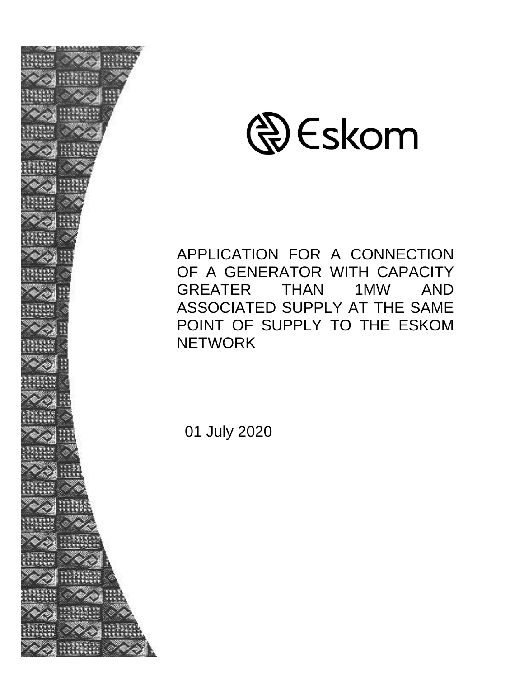



APPLICATION FOR A CONNECTION OF A GENERATOR WITH CAPACITY GREATER THAN 1MW AND ASSOCIATED SUPPLY AT THE SAME POINT OF SUPPLY TO THE ESKOM **NETWORK** 

01 July 2020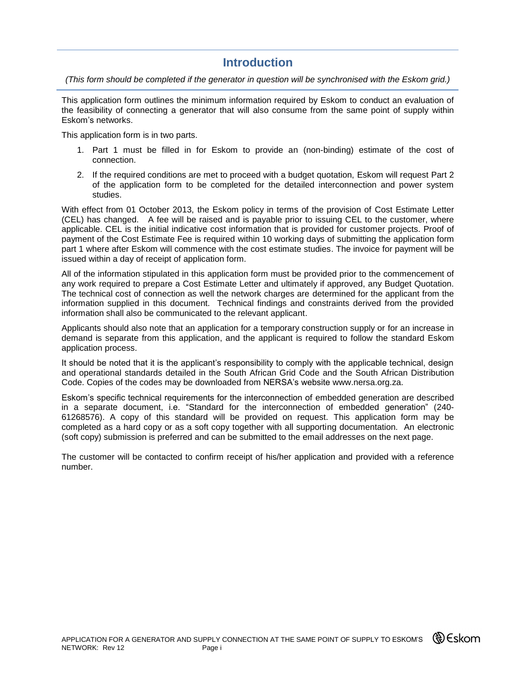### **Introduction**

*(This form should be completed if the generator in question will be synchronised with the Eskom grid.)*

This application form outlines the minimum information required by Eskom to conduct an evaluation of the feasibility of connecting a generator that will also consume from the same point of supply within Eskom's networks.

This application form is in two parts.

- 1. Part 1 must be filled in for Eskom to provide an (non-binding) estimate of the cost of connection.
- 2. If the required conditions are met to proceed with a budget quotation, Eskom will request Part 2 of the application form to be completed for the detailed interconnection and power system studies.

With effect from 01 October 2013, the Eskom policy in terms of the provision of Cost Estimate Letter (CEL) has changed. A fee will be raised and is payable prior to issuing CEL to the customer, where applicable. CEL is the initial indicative cost information that is provided for customer projects. Proof of payment of the Cost Estimate Fee is required within 10 working days of submitting the application form part 1 where after Eskom will commence with the cost estimate studies. The invoice for payment will be issued within a day of receipt of application form.

All of the information stipulated in this application form must be provided prior to the commencement of any work required to prepare a Cost Estimate Letter and ultimately if approved, any Budget Quotation. The technical cost of connection as well the network charges are determined for the applicant from the information supplied in this document. Technical findings and constraints derived from the provided information shall also be communicated to the relevant applicant.

Applicants should also note that an application for a temporary construction supply or for an increase in demand is separate from this application, and the applicant is required to follow the standard Eskom application process.

It should be noted that it is the applicant's responsibility to comply with the applicable technical, design and operational standards detailed in the South African Grid Code and the South African Distribution Code. Copies of the codes may be downloaded from NERSA's website www.nersa.org.za.

Eskom's specific technical requirements for the interconnection of embedded generation are described in a separate document, i.e. "Standard for the interconnection of embedded generation" (240- 61268576). A copy of this standard will be provided on request. This application form may be completed as a hard copy or as a soft copy together with all supporting documentation. An electronic (soft copy) submission is preferred and can be submitted to the email addresses on the next page.

The customer will be contacted to confirm receipt of his/her application and provided with a reference number.

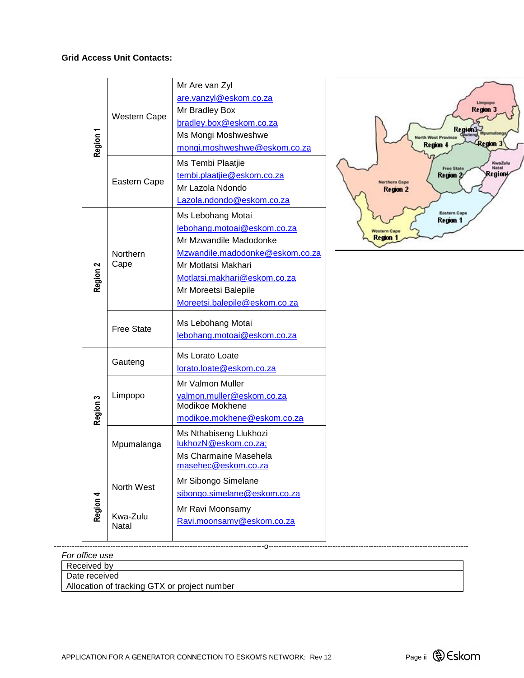#### **Grid Access Unit Contacts:**

|          | <b>Western Cape</b> | Mr Are van Zyl<br>are.vanzyl@eskom.co.za       |
|----------|---------------------|------------------------------------------------|
|          |                     | Mr Bradley Box                                 |
|          |                     | bradley.box@eskom.co.za                        |
|          |                     | Ms Mongi Moshweshwe                            |
| Region 1 |                     | mongi.moshweshwe@eskom.co.za                   |
|          |                     | Ms Tembi Plaatjie                              |
|          | Eastern Cape        | tembi.plaatjie@eskom.co.za                     |
|          |                     | Mr Lazola Ndondo                               |
|          |                     | Lazola.ndondo@eskom.co.za                      |
|          |                     | Ms Lebohang Motai                              |
|          |                     | lebohang.motoai@eskom.co.za                    |
|          |                     | Mr Mzwandile Madodonke                         |
|          | Northern<br>Cape    | Mzwandile.madodonke@eskom.co.za                |
|          |                     | Mr Motlatsi Makhari                            |
| Region 2 |                     | Motlatsi.makhari@eskom.co.za                   |
|          |                     | Mr Moreetsi Balepile                           |
|          |                     | Moreetsi.balepile@eskom.co.za                  |
|          | <b>Free State</b>   | Ms Lebohang Motai                              |
|          |                     | lebohang.motoai@eskom.co.za                    |
|          |                     | Ms Lorato Loate                                |
|          | Gauteng             | lorato.loate@eskom.co.za                       |
|          |                     | Mr Valmon Muller                               |
|          | Limpopo             | valmon.muller@eskom.co.za                      |
| Region 3 |                     | Modikoe Mokhene                                |
|          |                     | modikoe.mokhene@eskom.co.za                    |
|          | Mpumalanga          | Ms Nthabiseng Llukhozi<br>lukhozN@eskom.co.za; |
|          |                     | Ms Charmaine Masehela                          |
|          |                     | masehec@eskom.co.za                            |
|          |                     | Mr Sibongo Simelane                            |
|          | North West          | sibongo.simelane@eskom.co.za                   |
| Region 4 |                     | Mr Ravi Moonsamy                               |
|          | Kwa-Zulu<br>Natal   | Ravi.moonsamy@eskom.co.za                      |
|          |                     |                                                |



| For office use                               |  |
|----------------------------------------------|--|
| Received by                                  |  |
| Date received                                |  |
| Allocation of tracking GTX or project number |  |
|                                              |  |

----------------------------------------------------------------------------------o------------------------------------------------------------------------------

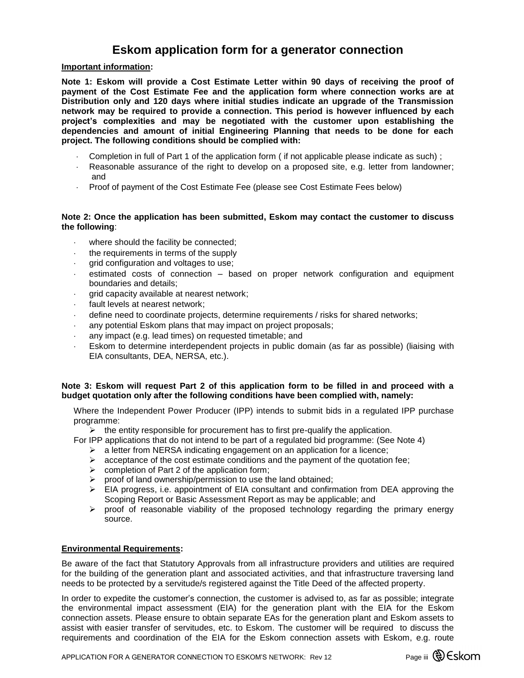## **Eskom application form for a generator connection**

#### **Important information:**

**Note 1: Eskom will provide a Cost Estimate Letter within 90 days of receiving the proof of payment of the Cost Estimate Fee and the application form where connection works are at Distribution only and 120 days where initial studies indicate an upgrade of the Transmission network may be required to provide a connection. This period is however influenced by each project's complexities and may be negotiated with the customer upon establishing the dependencies and amount of initial Engineering Planning that needs to be done for each project. The following conditions should be complied with:**

- Completion in full of Part 1 of the application form ( if not applicable please indicate as such) ;
- Reasonable assurance of the right to develop on a proposed site, e.g. letter from landowner; and
- Proof of payment of the Cost Estimate Fee (please see Cost Estimate Fees below)

#### **Note 2: Once the application has been submitted, Eskom may contact the customer to discuss the following**:

- where should the facility be connected;
- the requirements in terms of the supply
- grid configuration and voltages to use;
- estimated costs of connection based on proper network configuration and equipment boundaries and details;
- grid capacity available at nearest network;
- fault levels at nearest network;
- define need to coordinate projects, determine requirements / risks for shared networks;
- any potential Eskom plans that may impact on project proposals;
- any impact (e.g. lead times) on requested timetable; and
- Eskom to determine interdependent projects in public domain (as far as possible) (liaising with EIA consultants, DEA, NERSA, etc.).

#### **Note 3: Eskom will request Part 2 of this application form to be filled in and proceed with a budget quotation only after the following conditions have been complied with, namely:**

Where the Independent Power Producer (IPP) intends to submit bids in a regulated IPP purchase programme:

 $\triangleright$  the entity responsible for procurement has to first pre-qualify the application.

For IPP applications that do not intend to be part of a regulated bid programme: (See Note 4)

- $\triangleright$  a letter from NERSA indicating engagement on an application for a licence;
- $\triangleright$  acceptance of the cost estimate conditions and the payment of the quotation fee;
- $\triangleright$  completion of Part 2 of the application form;
- $\triangleright$  proof of land ownership/permission to use the land obtained;
- $\triangleright$  EIA progress, i.e. appointment of EIA consultant and confirmation from DEA approving the Scoping Report or Basic Assessment Report as may be applicable; and
- $\triangleright$  proof of reasonable viability of the proposed technology regarding the primary energy source.

#### **Environmental Requirements:**

Be aware of the fact that Statutory Approvals from all infrastructure providers and utilities are required for the building of the generation plant and associated activities, and that infrastructure traversing land needs to be protected by a servitude/s registered against the Title Deed of the affected property.

In order to expedite the customer's connection, the customer is advised to, as far as possible; integrate the environmental impact assessment (EIA) for the generation plant with the EIA for the Eskom connection assets. Please ensure to obtain separate EAs for the generation plant and Eskom assets to assist with easier transfer of servitudes, etc. to Eskom. The customer will be required to discuss the requirements and coordination of the EIA for the Eskom connection assets with Eskom, e.g. route

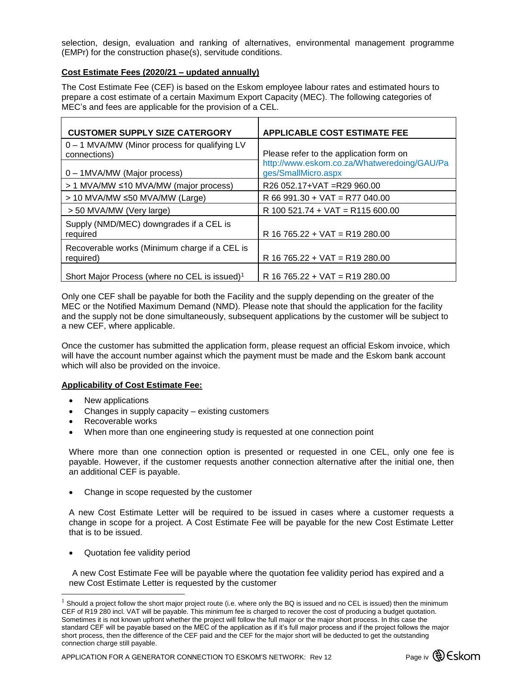selection, design, evaluation and ranking of alternatives, environmental management programme (EMPr) for the construction phase(s), servitude conditions.

#### **Cost Estimate Fees (2020/21 – updated annually)**

The Cost Estimate Fee (CEF) is based on the Eskom employee labour rates and estimated hours to prepare a cost estimate of a certain Maximum Export Capacity (MEC). The following categories of MEC's and fees are applicable for the provision of a CEL.

| <b>CUSTOMER SUPPLY SIZE CATERGORY</b>                         | <b>APPLICABLE COST ESTIMATE FEE</b>                                |
|---------------------------------------------------------------|--------------------------------------------------------------------|
| 0 - 1 MVA/MW (Minor process for qualifying LV<br>connections) | Please refer to the application form on                            |
| 0 - 1MVA/MW (Major process)                                   | http://www.eskom.co.za/Whatweredoing/GAU/Pa<br>ges/SmallMicro.aspx |
| > 1 MVA/MW ≤10 MVA/MW (major process)                         | R26 052.17+VAT = R29 960.00                                        |
| > 10 MVA/MW ≤50 MVA/MW (Large)                                | $R$ 66 991.30 + VAT = R77 040.00                                   |
| > 50 MVA/MW (Very large)                                      | $R$ 100 521.74 + VAT = R115 600.00                                 |
| Supply (NMD/MEC) downgrades if a CEL is<br>required           | $R$ 16 765.22 + VAT = R19 280.00                                   |
| Recoverable works (Minimum charge if a CEL is<br>required)    | $R$ 16 765.22 + VAT = R19 280.00                                   |
| Short Major Process (where no CEL is issued) <sup>1</sup>     | $R$ 16 765.22 + VAT = R19 280.00                                   |

Only one CEF shall be payable for both the Facility and the supply depending on the greater of the MEC or the Notified Maximum Demand (NMD). Please note that should the application for the facility and the supply not be done simultaneously, subsequent applications by the customer will be subject to a new CEF, where applicable.

Once the customer has submitted the application form, please request an official Eskom invoice, which will have the account number against which the payment must be made and the Eskom bank account which will also be provided on the invoice.

#### **Applicability of Cost Estimate Fee:**

- New applications
- Changes in supply capacity existing customers
- Recoverable works
- When more than one engineering study is requested at one connection point

Where more than one connection option is presented or requested in one CEL, only one fee is payable. However, if the customer requests another connection alternative after the initial one, then an additional CEF is payable.

Change in scope requested by the customer

A new Cost Estimate Letter will be required to be issued in cases where a customer requests a change in scope for a project. A Cost Estimate Fee will be payable for the new Cost Estimate Letter that is to be issued.

Quotation fee validity period

 $\overline{a}$ 

A new Cost Estimate Fee will be payable where the quotation fee validity period has expired and a new Cost Estimate Letter is requested by the customer

APPLICATION FOR A GENERATOR CONNECTION TO ESKOM'S NETWORK: Rev 12 Page iv  $\bigcirc$  Eskom



 $<sup>1</sup>$  Should a project follow the short major project route (i.e. where only the BQ is issued and no CEL is issued) then the minimum</sup> CEF of R19 280 incl. VAT will be payable. This minimum fee is charged to recover the cost of producing a budget quotation. Sometimes it is not known upfront whether the project will follow the full major or the major short process. In this case the standard CEF will be payable based on the MEC of the application as if it's full major process and if the project follows the major short process, then the difference of the CEF paid and the CEF for the major short will be deducted to get the outstanding connection charge still payable.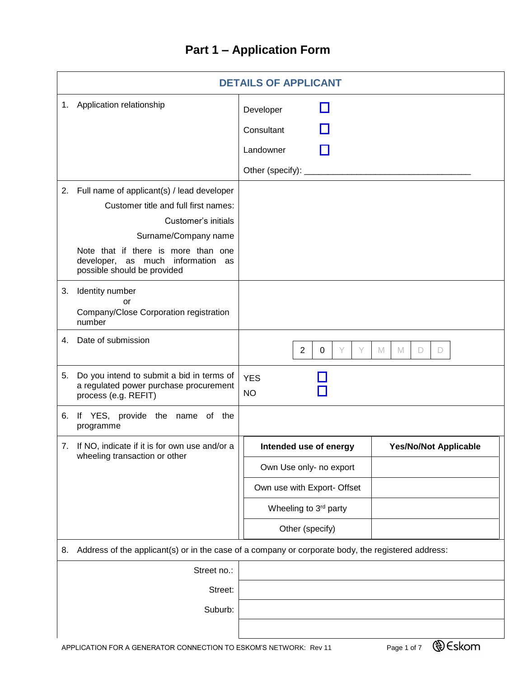# **Part 1 – Application Form**

|    | <b>DETAILS OF APPLICANT</b>                                                                                 |                               |                              |  |  |  |
|----|-------------------------------------------------------------------------------------------------------------|-------------------------------|------------------------------|--|--|--|
|    | 1. Application relationship                                                                                 | Developer<br>Consultant       |                              |  |  |  |
|    |                                                                                                             | Landowner                     |                              |  |  |  |
|    |                                                                                                             | Other (specify): _            |                              |  |  |  |
|    |                                                                                                             |                               |                              |  |  |  |
|    | 2. Full name of applicant(s) / lead developer                                                               |                               |                              |  |  |  |
|    | Customer title and full first names:                                                                        |                               |                              |  |  |  |
|    | Customer's initials                                                                                         |                               |                              |  |  |  |
|    | Surname/Company name<br>Note that if there is more than one<br>developer, as much information as            |                               |                              |  |  |  |
|    | possible should be provided                                                                                 |                               |                              |  |  |  |
| 3. | Identity number<br>or<br>Company/Close Corporation registration<br>number                                   |                               |                              |  |  |  |
| 4. | Date of submission                                                                                          | $\overline{2}$<br>Y<br>0<br>Y | M<br>M<br>D<br>D             |  |  |  |
| 5. | Do you intend to submit a bid in terms of<br>a regulated power purchase procurement<br>process (e.g. REFIT) | <b>YES</b><br><b>NO</b>       |                              |  |  |  |
| 6. | If YES, provide the name of the<br>programme                                                                |                               |                              |  |  |  |
|    | 7. If NO, indicate if it is for own use and/or a<br>wheeling transaction or other                           | Intended use of energy        | <b>Yes/No/Not Applicable</b> |  |  |  |
|    |                                                                                                             | Own Use only- no export       |                              |  |  |  |
|    |                                                                                                             | Own use with Export- Offset   |                              |  |  |  |
|    |                                                                                                             | Wheeling to 3rd party         |                              |  |  |  |
|    |                                                                                                             | Other (specify)               |                              |  |  |  |
| 8. | Address of the applicant(s) or in the case of a company or corporate body, the registered address:          |                               |                              |  |  |  |
|    | Street no.:                                                                                                 |                               |                              |  |  |  |
|    | Street:                                                                                                     |                               |                              |  |  |  |
|    | Suburb:                                                                                                     |                               |                              |  |  |  |
|    |                                                                                                             |                               | $AC_{1}$                     |  |  |  |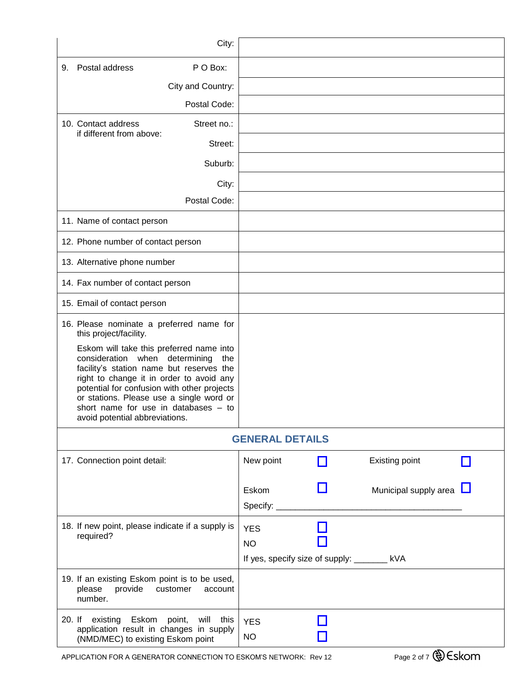| City:                                                                                                                                                                                                                                                                                                                                          |                                                                        |                         |
|------------------------------------------------------------------------------------------------------------------------------------------------------------------------------------------------------------------------------------------------------------------------------------------------------------------------------------------------|------------------------------------------------------------------------|-------------------------|
| P O Box:<br>Postal address<br>9.                                                                                                                                                                                                                                                                                                               |                                                                        |                         |
| City and Country:                                                                                                                                                                                                                                                                                                                              |                                                                        |                         |
| Postal Code:                                                                                                                                                                                                                                                                                                                                   |                                                                        |                         |
| 10. Contact address<br>Street no.:                                                                                                                                                                                                                                                                                                             |                                                                        |                         |
| if different from above:<br>Street:                                                                                                                                                                                                                                                                                                            |                                                                        |                         |
| Suburb:                                                                                                                                                                                                                                                                                                                                        |                                                                        |                         |
| City:                                                                                                                                                                                                                                                                                                                                          |                                                                        |                         |
| Postal Code:                                                                                                                                                                                                                                                                                                                                   |                                                                        |                         |
| 11. Name of contact person                                                                                                                                                                                                                                                                                                                     |                                                                        |                         |
| 12. Phone number of contact person                                                                                                                                                                                                                                                                                                             |                                                                        |                         |
| 13. Alternative phone number                                                                                                                                                                                                                                                                                                                   |                                                                        |                         |
| 14. Fax number of contact person                                                                                                                                                                                                                                                                                                               |                                                                        |                         |
| 15. Email of contact person                                                                                                                                                                                                                                                                                                                    |                                                                        |                         |
| 16. Please nominate a preferred name for<br>this project/facility.                                                                                                                                                                                                                                                                             |                                                                        |                         |
| Eskom will take this preferred name into<br>consideration when determining<br>the<br>facility's station name but reserves the<br>right to change it in order to avoid any<br>potential for confusion with other projects<br>or stations. Please use a single word or<br>short name for use in databases - to<br>avoid potential abbreviations. |                                                                        |                         |
|                                                                                                                                                                                                                                                                                                                                                | <b>GENERAL DETAILS</b>                                                 |                         |
| 17. Connection point detail:                                                                                                                                                                                                                                                                                                                   | New point                                                              | Existing point          |
|                                                                                                                                                                                                                                                                                                                                                | Eskom                                                                  | Municipal supply area L |
| 18. If new point, please indicate if a supply is<br>required?                                                                                                                                                                                                                                                                                  | <b>YES</b><br><b>NO</b><br>If yes, specify size of supply: _______ kVA |                         |
| 19. If an existing Eskom point is to be used,<br>provide<br>customer<br>please<br>account<br>number.                                                                                                                                                                                                                                           |                                                                        |                         |
| 20. If existing Eskom<br>point,<br>will this<br>application result in changes in supply<br>(NMD/MEC) to existing Eskom point                                                                                                                                                                                                                   | <b>YES</b><br><b>NO</b>                                                |                         |

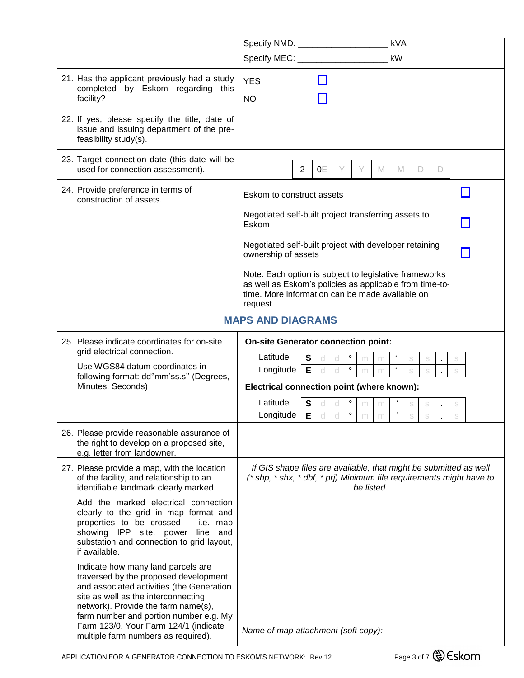|                                                                                                                                                                                                                                                                                                                                  | kVA                                                                                                                                                                                                                           |
|----------------------------------------------------------------------------------------------------------------------------------------------------------------------------------------------------------------------------------------------------------------------------------------------------------------------------------|-------------------------------------------------------------------------------------------------------------------------------------------------------------------------------------------------------------------------------|
|                                                                                                                                                                                                                                                                                                                                  | kW                                                                                                                                                                                                                            |
| 21. Has the applicant previously had a study<br>completed by Eskom regarding this<br>facility?                                                                                                                                                                                                                                   | <b>YES</b><br><b>NO</b>                                                                                                                                                                                                       |
| 22. If yes, please specify the title, date of<br>issue and issuing department of the pre-<br>feasibility study(s).                                                                                                                                                                                                               |                                                                                                                                                                                                                               |
| 23. Target connection date (this date will be<br>used for connection assessment).                                                                                                                                                                                                                                                | $\overline{2}$<br>0Ε<br>M<br>M<br>Y<br>D<br>D                                                                                                                                                                                 |
| 24. Provide preference in terms of<br>construction of assets.                                                                                                                                                                                                                                                                    | Eskom to construct assets                                                                                                                                                                                                     |
|                                                                                                                                                                                                                                                                                                                                  | Negotiated self-built project transferring assets to<br>Eskom                                                                                                                                                                 |
|                                                                                                                                                                                                                                                                                                                                  | Negotiated self-built project with developer retaining<br>ownership of assets                                                                                                                                                 |
|                                                                                                                                                                                                                                                                                                                                  | Note: Each option is subject to legislative frameworks<br>as well as Eskom's policies as applicable from time-to-<br>time. More information can be made available on<br>request.                                              |
|                                                                                                                                                                                                                                                                                                                                  | <b>MAPS AND DIAGRAMS</b>                                                                                                                                                                                                      |
| 25. Please indicate coordinates for on-site<br>grid electrical connection.<br>Use WGS84 datum coordinates in<br>following format: dd°mm'ss.s" (Degrees,<br>Minutes, Seconds)                                                                                                                                                     | <b>On-site Generator connection point:</b><br>Latitude<br>$\circ$<br>$\epsilon$<br>$\mathbf s$<br>S<br>S<br>d<br>S<br>m<br>m<br>$\mathbf{f}$<br>E.<br>$\circ$<br>Longitude<br>S<br>Electrical connection point (where known): |
|                                                                                                                                                                                                                                                                                                                                  | Latitude<br>$\circ$<br>S<br>S<br>$\pmb{\epsilon}$<br>$\circ$<br>Longitude<br>E.<br>d<br>S<br>d<br>m<br>m                                                                                                                      |
| 26. Please provide reasonable assurance of<br>the right to develop on a proposed site,<br>e.g. letter from landowner.                                                                                                                                                                                                            |                                                                                                                                                                                                                               |
| 27. Please provide a map, with the location<br>of the facility, and relationship to an<br>identifiable landmark clearly marked.                                                                                                                                                                                                  | If GIS shape files are available, that might be submitted as well<br>(*.shp, *.shx, *.dbf, *.prj) Minimum file requirements might have to<br>be listed.                                                                       |
| Add the marked electrical connection<br>clearly to the grid in map format and<br>properties to be crossed - i.e. map<br>showing IPP site, power line and<br>substation and connection to grid layout,<br>if available.                                                                                                           |                                                                                                                                                                                                                               |
| Indicate how many land parcels are<br>traversed by the proposed development<br>and associated activities (the Generation<br>site as well as the interconnecting<br>network). Provide the farm name(s),<br>farm number and portion number e.g. My<br>Farm 123/0, Your Farm 124/1 (indicate<br>multiple farm numbers as required). | Name of map attachment (soft copy):                                                                                                                                                                                           |

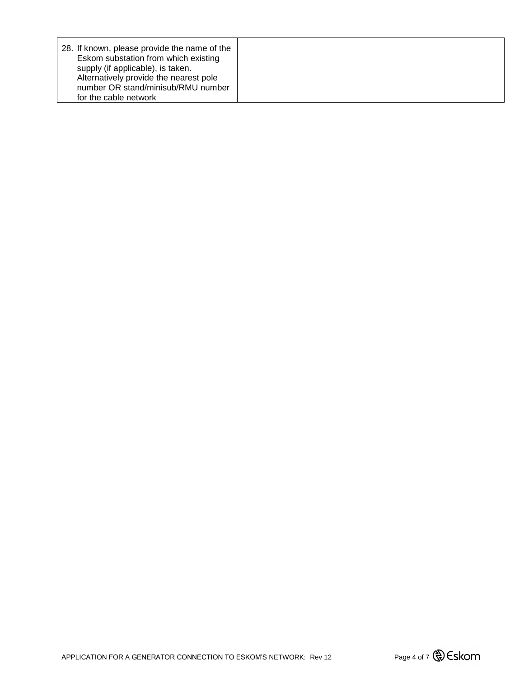| 28. If known, please provide the name of the<br>Eskom substation from which existing<br>supply (if applicable), is taken.<br>Alternatively provide the nearest pole |  |
|---------------------------------------------------------------------------------------------------------------------------------------------------------------------|--|
| number OR stand/minisub/RMU number                                                                                                                                  |  |
| for the cable network                                                                                                                                               |  |

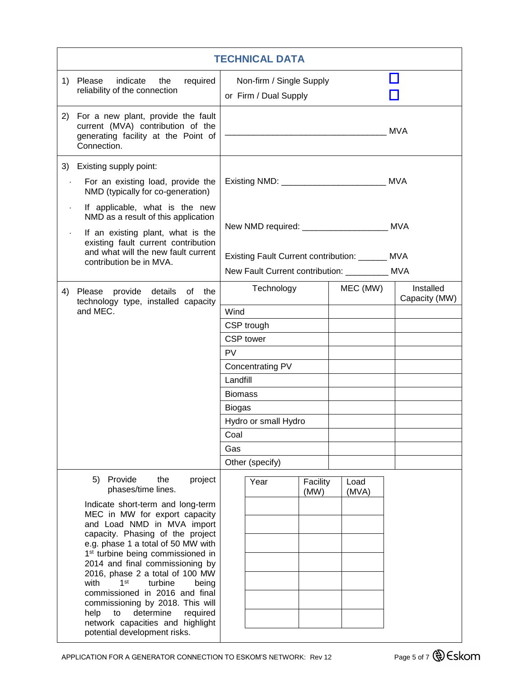| <b>TECHNICAL DATA</b>  |                                                                                                                                                                                                                                                                                                                                                                                                                                                                                                                                   |                                                                          |                                                      |                  |                            |  |            |
|------------------------|-----------------------------------------------------------------------------------------------------------------------------------------------------------------------------------------------------------------------------------------------------------------------------------------------------------------------------------------------------------------------------------------------------------------------------------------------------------------------------------------------------------------------------------|--------------------------------------------------------------------------|------------------------------------------------------|------------------|----------------------------|--|------------|
| 1)                     | indicate the<br>required<br>Please<br>reliability of the connection                                                                                                                                                                                                                                                                                                                                                                                                                                                               |                                                                          | Non-firm / Single Supply<br>or Firm / Dual Supply    |                  |                            |  |            |
|                        | 2) For a new plant, provide the fault<br>current (MVA) contribution of the<br>generating facility at the Point of<br>Connection.                                                                                                                                                                                                                                                                                                                                                                                                  |                                                                          |                                                      |                  |                            |  | <b>MVA</b> |
|                        | 3) Existing supply point:                                                                                                                                                                                                                                                                                                                                                                                                                                                                                                         |                                                                          |                                                      |                  |                            |  |            |
| $\ddot{\phantom{0}}$   | For an existing load, provide the<br>NMD (typically for co-generation)                                                                                                                                                                                                                                                                                                                                                                                                                                                            |                                                                          | Existing NMD: __________________________________ MVA |                  |                            |  |            |
| $\bullet$<br>$\bullet$ | If applicable, what is the new<br>NMD as a result of this application<br>If an existing plant, what is the                                                                                                                                                                                                                                                                                                                                                                                                                        |                                                                          | New NMD required: _______________________ MVA        |                  |                            |  |            |
|                        | existing fault current contribution<br>and what will the new fault current<br>contribution be in MVA.                                                                                                                                                                                                                                                                                                                                                                                                                             |                                                                          | Existing Fault Current contribution: ______ MVA      |                  |                            |  |            |
|                        | 4) Please provide details of the                                                                                                                                                                                                                                                                                                                                                                                                                                                                                                  | New Fault Current contribution: __________ MVA<br>Technology<br>MEC (MW) |                                                      |                  | Installed<br>Capacity (MW) |  |            |
|                        | technology type, installed capacity<br>and MEC.                                                                                                                                                                                                                                                                                                                                                                                                                                                                                   | Wind                                                                     |                                                      |                  |                            |  |            |
|                        |                                                                                                                                                                                                                                                                                                                                                                                                                                                                                                                                   |                                                                          | CSP trough                                           |                  |                            |  |            |
|                        |                                                                                                                                                                                                                                                                                                                                                                                                                                                                                                                                   |                                                                          | CSP tower                                            |                  |                            |  |            |
|                        |                                                                                                                                                                                                                                                                                                                                                                                                                                                                                                                                   | <b>PV</b>                                                                |                                                      |                  |                            |  |            |
|                        |                                                                                                                                                                                                                                                                                                                                                                                                                                                                                                                                   |                                                                          | Concentrating PV                                     |                  |                            |  |            |
|                        |                                                                                                                                                                                                                                                                                                                                                                                                                                                                                                                                   | Landfill                                                                 |                                                      |                  |                            |  |            |
|                        |                                                                                                                                                                                                                                                                                                                                                                                                                                                                                                                                   | <b>Biomass</b>                                                           |                                                      |                  |                            |  |            |
|                        |                                                                                                                                                                                                                                                                                                                                                                                                                                                                                                                                   | <b>Biogas</b>                                                            |                                                      |                  |                            |  |            |
|                        |                                                                                                                                                                                                                                                                                                                                                                                                                                                                                                                                   |                                                                          | Hydro or small Hydro                                 |                  |                            |  |            |
|                        |                                                                                                                                                                                                                                                                                                                                                                                                                                                                                                                                   | Coal                                                                     |                                                      |                  |                            |  |            |
|                        |                                                                                                                                                                                                                                                                                                                                                                                                                                                                                                                                   | Gas                                                                      |                                                      |                  |                            |  |            |
|                        |                                                                                                                                                                                                                                                                                                                                                                                                                                                                                                                                   |                                                                          | Other (specify)                                      |                  |                            |  |            |
|                        | the<br>5) Provide<br>project<br>phases/time lines.                                                                                                                                                                                                                                                                                                                                                                                                                                                                                |                                                                          | Year                                                 | Facility<br>(MW) | Load<br>(MVA)              |  |            |
|                        | Indicate short-term and long-term<br>MEC in MW for export capacity<br>and Load NMD in MVA import<br>capacity. Phasing of the project<br>e.g. phase 1 a total of 50 MW with<br>1 <sup>st</sup> turbine being commissioned in<br>2014 and final commissioning by<br>2016, phase 2 a total of 100 MW<br>with<br>1 <sup>st</sup><br>turbine<br>being<br>commissioned in 2016 and final<br>commissioning by 2018. This will<br>determine<br>required<br>help<br>to<br>network capacities and highlight<br>potential development risks. |                                                                          |                                                      |                  |                            |  |            |

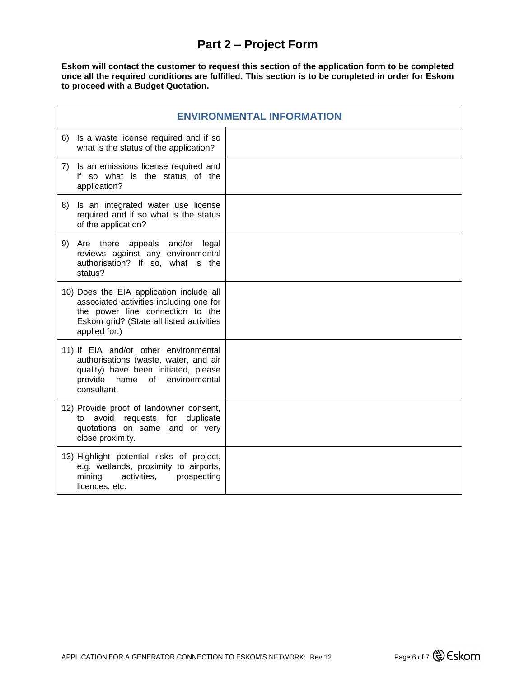## **Part 2 – Project Form**

**Eskom will contact the customer to request this section of the application form to be completed once all the required conditions are fulfilled. This section is to be completed in order for Eskom to proceed with a Budget Quotation.**

| <b>ENVIRONMENTAL INFORMATION</b>                                                                                                                                                     |  |  |  |  |
|--------------------------------------------------------------------------------------------------------------------------------------------------------------------------------------|--|--|--|--|
| Is a waste license required and if so<br>6)<br>what is the status of the application?                                                                                                |  |  |  |  |
| Is an emissions license required and<br>7)<br>if so what is the status of the<br>application?                                                                                        |  |  |  |  |
| 8)<br>Is an integrated water use license<br>required and if so what is the status<br>of the application?                                                                             |  |  |  |  |
| Are there appeals and/or<br>9)<br>legal<br>reviews against any environmental<br>authorisation? If so, what is the<br>status?                                                         |  |  |  |  |
| 10) Does the EIA application include all<br>associated activities including one for<br>the power line connection to the<br>Eskom grid? (State all listed activities<br>applied for.) |  |  |  |  |
| 11) If EIA and/or other environmental<br>authorisations (waste, water, and air<br>quality) have been initiated, please<br>provide<br>name of<br>environmental<br>consultant.         |  |  |  |  |
| 12) Provide proof of landowner consent,<br>avoid<br>requests for duplicate<br>to<br>quotations on same land or very<br>close proximity.                                              |  |  |  |  |
| 13) Highlight potential risks of project,<br>e.g. wetlands, proximity to airports,<br>activities,<br>mining<br>prospecting<br>licences, etc.                                         |  |  |  |  |